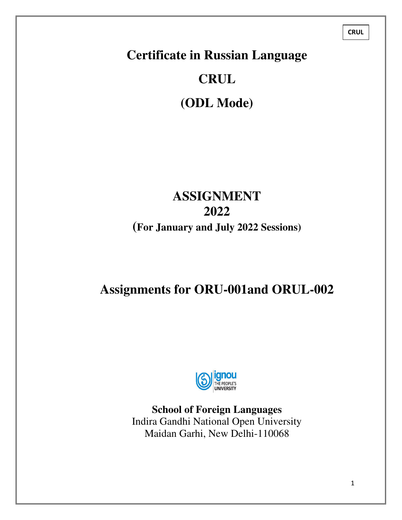**CRUL**

# **Certificate in Russian Language**

# **CRUL**

**(ODL Mode)** 

# **ASSIGNMENT 2022 (For January and July 2022 Sessions)**

# **Assignments for ORU-001and ORUL-002**



**School of Foreign Languages**  Indira Gandhi National Open University Maidan Garhi, New Delhi-110068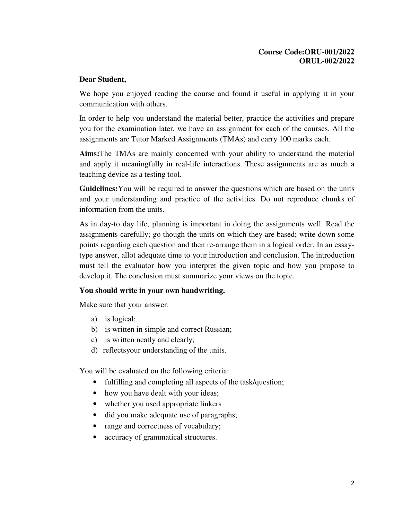#### **Course Code:ORU-001/2022 ORUL-002/2022**

#### **Dear Student,**

We hope you enjoyed reading the course and found it useful in applying it in your communication with others.

In order to help you understand the material better, practice the activities and prepare you for the examination later, we have an assignment for each of the courses. All the assignments are Tutor Marked Assignments (TMAs) and carry 100 marks each.

**Aims:**The TMAs are mainly concerned with your ability to understand the material and apply it meaningfully in real-life interactions. These assignments are as much a teaching device as a testing tool.

**Guidelines:**You will be required to answer the questions which are based on the units and your understanding and practice of the activities. Do not reproduce chunks of information from the units.

As in day-to day life, planning is important in doing the assignments well. Read the assignments carefully; go though the units on which they are based; write down some points regarding each question and then re-arrange them in a logical order. In an essaytype answer, allot adequate time to your introduction and conclusion. The introduction must tell the evaluator how you interpret the given topic and how you propose to develop it. The conclusion must summarize your views on the topic.

#### **You should write in your own handwriting.**

Make sure that your answer:

- a) is logical;
- b) is written in simple and correct Russian;
- c) is written neatly and clearly;
- d) reflectsyour understanding of the units.

You will be evaluated on the following criteria:

- fulfilling and completing all aspects of the task/question;
- how you have dealt with your ideas;
- whether you used appropriate linkers
- did you make adequate use of paragraphs;
- range and correctness of vocabulary;
- accuracy of grammatical structures.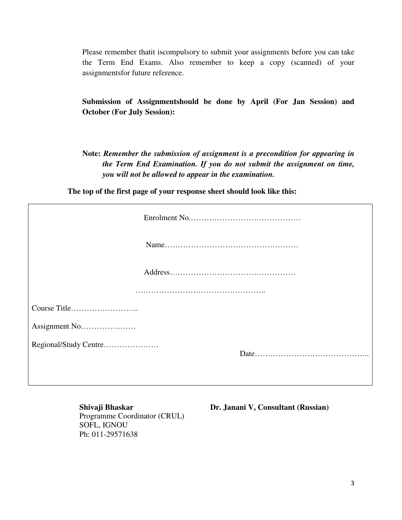Please remember thatit iscompulsory to submit your assignments before you can take the Term End Exams. Also remember to keep a copy (scanned) of your assignmentsfor future reference.

**Submission of Assignmentshould be done by April (For Jan Session) and October (For July Session):** 

**Note:** *Remember the submission of assignment is a precondition for appearing in the Term End Examination. If you do not submit the assignment on time, you will not be allowed to appear in the examination.* 

**The top of the first page of your response sheet should look like this:**

| Regional/Study Centre |  |
|-----------------------|--|
|                       |  |

Programme Coordinator (CRUL) SOFL, IGNOU Ph: 011-29571638

**Shivaji Bhaskar Dr. Janani V, Consultant (Russian)**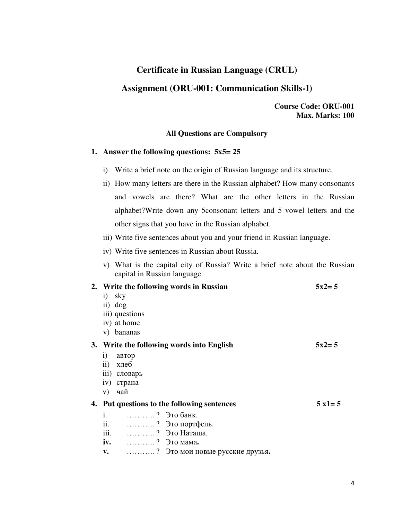# **Certificate in Russian Language (CRUL)**

# **Assignment (ORU-001: Communication Skills-I)**

**Course Code: ORU-001 Max. Marks: 100** 

#### **All Questions are Compulsory**

#### **1. Answer the following questions: 5x5= 25**

- i) Write a brief note on the origin of Russian language and its structure.
- ii) How many letters are there in the Russian alphabet? How many consonants and vowels are there? What are the other letters in the Russian alphabet?Write down any 5consonant letters and 5 vowel letters and the other signs that you have in the Russian alphabet.
- iii) Write five sentences about you and your friend in Russian language.
- iv) Write five sentences in Russian about Russia.
- v) What is the capital city of Russia? Write a brief note about the Russian capital in Russian language.

| 2. Write the following words in Russian   |                                             | $5x^2 = 5$       |
|-------------------------------------------|---------------------------------------------|------------------|
| sky<br>$\left( \frac{1}{2} \right)$       |                                             |                  |
| ii) dog                                   |                                             |                  |
| iii) questions                            |                                             |                  |
| iv) at home                               |                                             |                  |
| v) bananas                                |                                             |                  |
| 3. Write the following words into English |                                             | $5x2 = 5$        |
| $\bf{1)}$<br>автор                        |                                             |                  |
| хлеб<br>$\rm ii)$                         |                                             |                  |
| ііі) словарь                              |                                             |                  |
| iv) страна                                |                                             |                  |
| чай<br>V)                                 |                                             |                  |
|                                           | 4. Put questions to the following sentences | $5 \times 1 = 5$ |
| i.<br>? Это банк.                         |                                             |                  |
| ii. ? Это портфель.                       |                                             |                  |
| iii.                                      | ? Это Наташа.                               |                  |
| <b>iv.</b> ? Это мама.                    |                                             |                  |
| v.                                        | ? Это мои новые русские друзья.             |                  |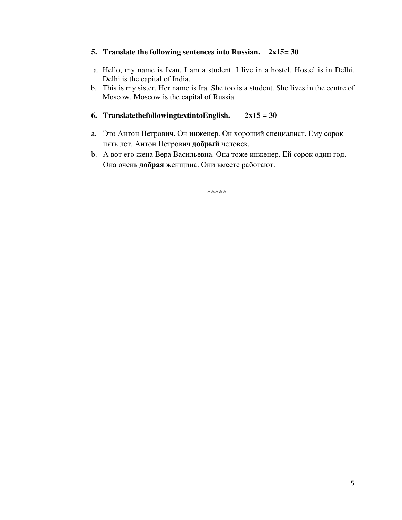#### **5. Translate the following sentences into Russian. 2x15= 30**

- a. Hello, my name is Ivan. I am a student. I live in a hostel. Hostel is in Delhi. Delhi is the capital of India.
- b. This is my sister. Her name is Ira. She too is a student. She lives in the centre of Moscow. Moscow is the capital of Russia.

#### **6. TranslatethefollowingtextintoEnglish. 2x15 = 30**

- a. Это Антон Петрович. Он инженер. Он хороший специалист. Ему сорок пять лет. Антон Петрович **добрый** человек.
- b. А вот его жена Вера Васильевна. Она тоже инженер. Ей сорок один год. Она очень **добрая** женщина. Они вместе работают.

\*\*\*\*\*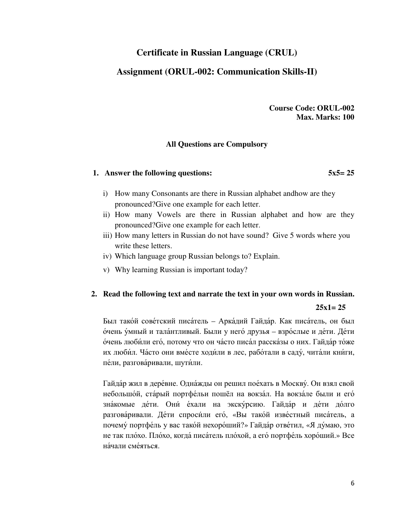# **Certificate in Russian Language (CRUL)**

# **Assignment (ORUL-002: Communication Skills-II)**

**Course Code: ORUL-002 Max. Marks: 100** 

#### **All Questions are Compulsory**

#### **1. Answer the following questions: 5x5= 25**

- i) How many Consonants are there in Russian alphabet andhow are they pronounced?Give one example for each letter.
- ii) How many Vowels are there in Russian alphabet and how are they pronounced?Give one example for each letter.
- iii) How many letters in Russian do not have sound? Give 5 words where you write these letters.
- iv) Which language group Russian belongs to? Explain.
- v) Why learning Russian is important today?

# **2. Read the following text and narrate the text in your own words in Russian.**

#### **25x1= 25**

Был тако́й сове́тский писа́тель – Арка́дий Гайда́р. Как писа́тель, он был о́чень у́мный и тала́нтливый. Были у него́ друзья – взро́слые и де́ти. Де́ти о́чень люби́ли его́, потому что он ча́сто писа́л расска́зы о них. Гайда́р то́же их люби́л. Ча́сто они вме́сте ходи́ли в лес, рабо́тали в саду́ , чита́ли кни́ги, пе́ли, разгова́ривали, шути́ли.

Гайда́р жил в дере́вне. Одна́жды он решил пое́хать в Москву́. Он взял свой небольшо́й, ста́рый портфе́льи пошёл на вокза́л. На вокза́ле были и его́ зна́комые де́ти. Они́ е́хали на экску́рсию. Гайда́р и де́ти до́лго разгова́ривали. Де́ти спроси́ли его́, «Вы тако́й изве́стный писа́тель, а почему́ портфе́ль у вас тако́й нехоро́ший?» Гайда́р отве́тил, «Я ду́маю, это не так пло́хо. Пло́хо, когда́ писа́тель пло́хой, а его́ портфе́ль хоро́ший.» Все на́чали сме́яться.